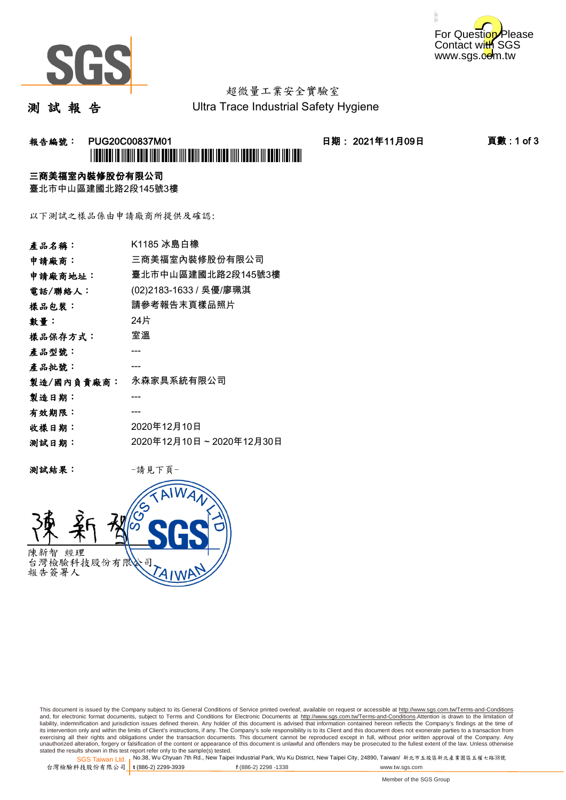



# 超微量工業安全實驗室

測 試 報 告

Ultra Trace Industrial Safety Hygiene

### 報告編號: PUG20C00837M01 日期: 2021年11月09日 頁數 : 1 of 3 \*PUG20C00837M01\*

### 三商美福室內裝修股份有限公司

臺北市中山區建國北路2段145號3樓

以下測試之樣品係由申請廠商所提供及確認:

| 產品名稱:      | K1185 冰島白橡              |
|------------|-------------------------|
| 申請廠商:      | 三商美福室內裝修股份有限公司          |
| 申請廠商地址:    | 臺北市中山區建國北路2段145號3樓      |
| 電話/聯絡人:    | (02)2183-1633 / 吳優/廖珮淇  |
| 樣品包裝:      | 請參考報告末頁樣品照片             |
| 數量:        | 24片                     |
| 樣品保存方式:    | 室溫                      |
| 產品型號:      |                         |
| 產品批號:      |                         |
| 製造/國內負責廠商: | 永森家具系統有限公司              |
| 製造日期:      |                         |
| 有效期限:      |                         |
| 收樣日期:      | 2020年12月10日             |
| 测試日期:      | 2020年12月10日~2020年12月30日 |
|            |                         |

测試結果: 一請見下頁



This document is issued by the Company subject to its General Conditions of Service printed overleaf, available on request or accessible at http://www.sgs.com.tw/Terms-and-Conditions and, for electronic format documents, subject to Terms and Conditions for Electronic Documents at <u>http://www.sgs.com.tw/Terms-and-Conditions</u>.Attention is drawn to the limitation of<br>liability, indemnification and jurisdic exercising all their rights and obligations under the transaction documents. This document cannot be reproduced except in full, without prior written approval of the Company. Any<br>unauthorized alteration, forgery or falsifi

SGS Taiwan Ltd. 1 stated the results shown in this test report refer only to the sample(s) tested.<br>Stated the results shown in this test report refer only to the sample(s) tested.

台灣檢驗科技股份有限公司

**t** (886-2) 2299-3939 **f** (886-2) 2298 -1338 www.tw.sgs.com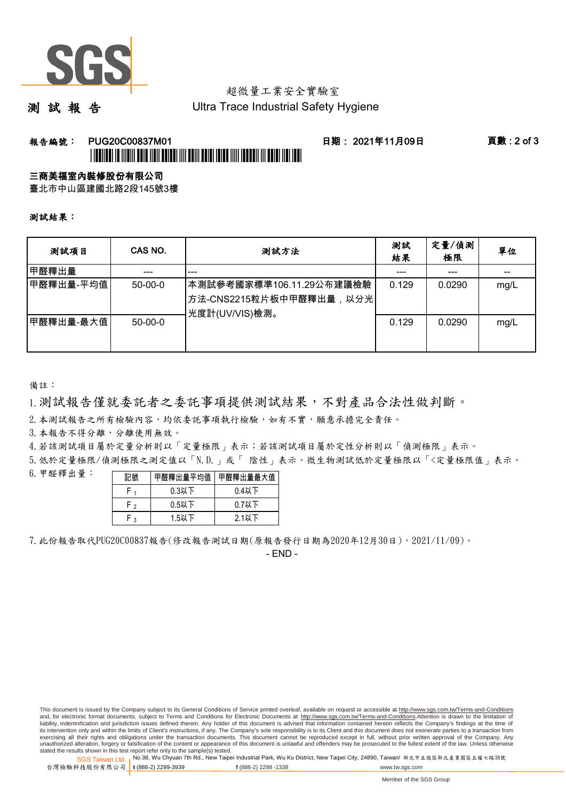

# 超微量工業安全實驗室

測 試 報 告

Ultra Trace Industrial Safety Hygiene

### 報告編號: PUG20C00837M01 日期: 2021年11月09日 頁數 : 2 of 3 \*PUGENTEEN TE INTENIE DEUR TOENE DEUR DIT DEUR DEUR TEIDE TOTT TEEDERING TOEDERING TEEDERING T

#### 三商美福室內裝修股份有限公司

臺北市中山區建國北路2段145號3樓

測試結果:

| 测試項目      | CAS NO.       | 测試方法                                                                  | 測試<br>結果 | 定量/偵測<br>極限 | 單位   |
|-----------|---------------|-----------------------------------------------------------------------|----------|-------------|------|
| 甲醛釋出量     | ---           | ---                                                                   |          | ---         | --   |
| 甲醛釋出量-平均值 | $50-00-0$     | 本測試參考國家標準106.11.29公布建議檢驗<br>方法-CNS2215粒片板中甲醛釋出量,以分光<br>光度計(UV/VIS)檢測。 | 0.129    | 0.0290      | mg/L |
| 甲醛釋出量-最大值 | $50 - 00 - 0$ |                                                                       | 0.129    | 0.0290      | mg/L |

備註:

1.測試報告僅就委託者之委託事項提供測試結果,不對產品合法性做判斷。

2.本測試報告之所有檢驗內容,均依委託事項執行檢驗,如有不實,願意承擔完全責任。

3. 本報告不得分離,分離使用無效。

4.若該測試項目屬於定量分析則以「定量極限」表示;若該測試項目屬於定性分析則以「偵測極限」表示。

5.低於定量極限/偵測極限之測定值以「N.D.」或「 陰性」表示。微生物測試低於定量極限以「<定量極限值」表示。

6.甲醛釋出量:

| 記號  | 甲醛釋出量平均值 | 甲醛釋出量最大值 |  |  |
|-----|----------|----------|--|--|
|     | $0.3$ 以下 | $0.4$ 以下 |  |  |
| ⊢ ∍ | $0.5$ 以下 | $0.7$ 以下 |  |  |
| ່າ  | $1.5$ 以下 | $2.1$ 以下 |  |  |

7.此份報告取代PUG20C00837報告(修改報告測試日期(原報告發行日期為2020年12月30日),2021/11/09)。

- END -

This document is issued by the Company subject to its General Conditions of Service printed overleaf, available on request or accessible at http://www.sgs.com.tw/Terms-and-Conditions and, for electronic format documents, subject to Terms and Conditions for Electronic Documents at http://www.sgs.com.tw/Terms-and-Conditions.Attention is drawn to the limitation of liability, indemnification and jurisdiction issues defined therein. Any holder of this document is advised that information contained hereon reflects the Company's findings at the time of<br>its intervention only and within t exercising all their rights and obligations under the transaction documents. This document cannot be reproduced except in full, without prior written approval of the Company. Any<br>unauthorized alteration, forgery or falsifi

SGS Taiwan Ltd. 1 stated the results shown in this test report refer only to the sample(s) tested.<br>Stated the results shown in this test report refer only to the sample(s) tested.

台灣檢驗科技股份有限公司

**t** (886-2) 2299-3939 **f** (886-2) 2298 -1338 www.tw.sgs.com